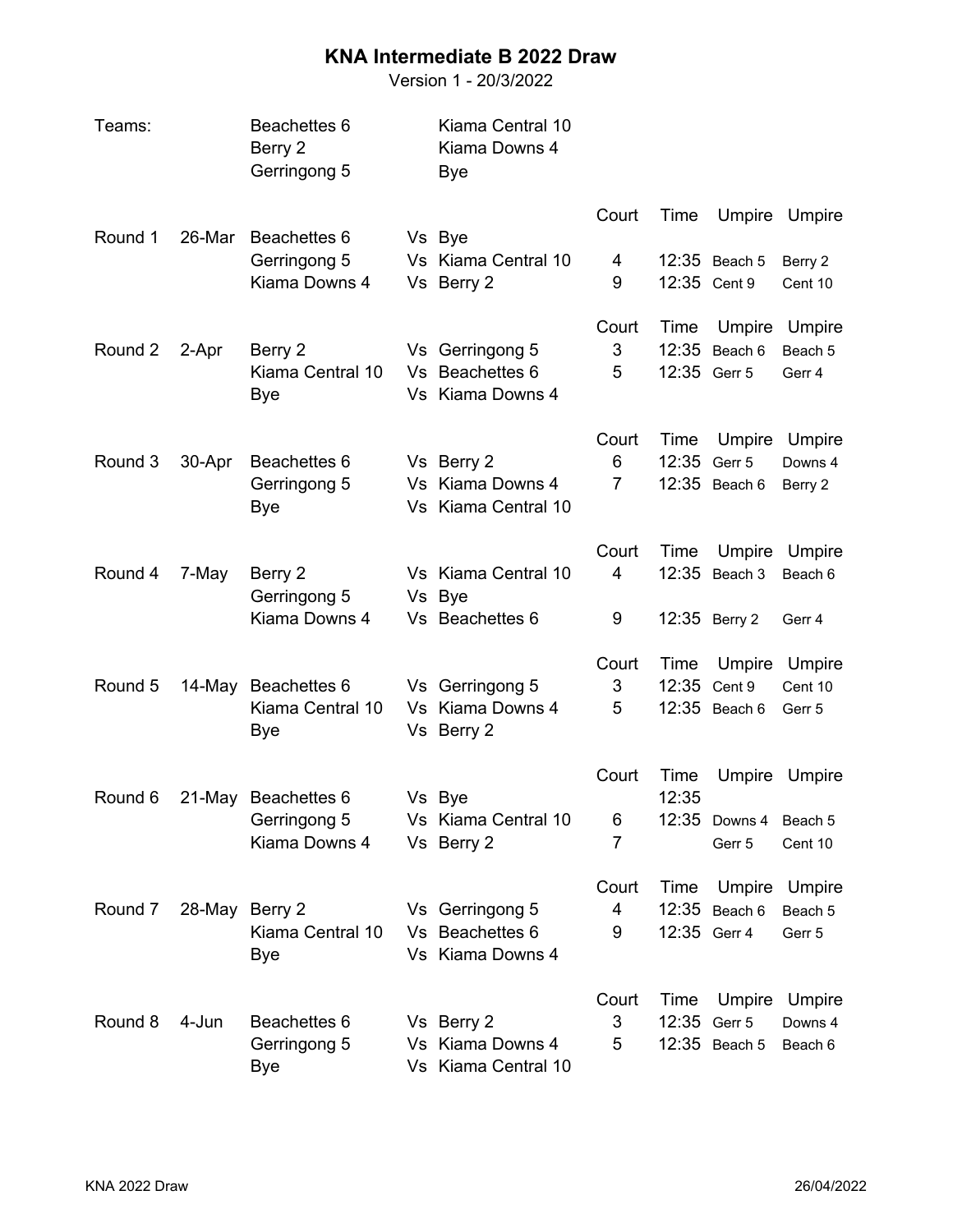## **KNA Intermediate B 2022 Draw**

Version 1 - 20/3/2022

| Teams:  |        | Beachettes 6<br>Berry 2<br>Gerringong 5 | Kiama Central 10<br>Kiama Downs 4<br>Bye |                |               |               |               |
|---------|--------|-----------------------------------------|------------------------------------------|----------------|---------------|---------------|---------------|
| Round 1 | 26-Mar | Beachettes 6                            | Vs Bye                                   | Court          | Time          |               | Umpire Umpire |
|         |        | Gerringong 5                            | Vs Kiama Central 10                      | 4              |               | 12:35 Beach 5 | Berry 2       |
|         |        | Kiama Downs 4                           | Vs Berry 2                               | 9              |               | 12:35 Cent 9  | Cent 10       |
|         |        |                                         |                                          | Court          | Time          | Umpire        | Umpire        |
| Round 2 | 2-Apr  | Berry 2                                 | Vs Gerringong 5                          | 3              | 12:35         | Beach 6       | Beach 5       |
|         |        | Kiama Central 10<br>Bye                 | Vs Beachettes 6<br>Vs Kiama Downs 4      | 5              |               | 12:35 Gerr 5  | Gerr 4        |
|         |        |                                         |                                          | Court          | Time          | Umpire        | Umpire        |
| Round 3 | 30-Apr | Beachettes 6                            | Vs Berry 2                               | 6              | 12:35         | Gerr 5        | Downs 4       |
|         |        | Gerringong 5<br>Bye                     | Vs Kiama Downs 4<br>Vs Kiama Central 10  | $\overline{7}$ |               | 12:35 Beach 6 | Berry 2       |
|         |        |                                         |                                          | Court          | Time          | Umpire        | Umpire        |
| Round 4 | 7-May  | Berry 2<br>Gerringong 5                 | Vs Kiama Central 10<br>Vs Bye            | $\overline{4}$ |               | 12:35 Beach 3 | Beach 6       |
|         |        | Kiama Downs 4                           | Vs Beachettes 6                          | 9              |               | 12:35 Berry 2 | Gerr 4        |
|         |        |                                         |                                          | Court          | Time          | Umpire        | Umpire        |
| Round 5 | 14-May | Beachettes 6                            | Vs Gerringong 5                          | 3              |               | 12:35 Cent 9  | Cent 10       |
|         |        | Kiama Central 10<br>Bye                 | Vs Kiama Downs 4<br>Vs Berry 2           | 5              |               | 12:35 Beach 6 | Gerr 5        |
| Round 6 |        | 21-May Beachettes 6                     | Vs Bye                                   | Court          | Time<br>12:35 | Umpire        | Umpire        |
|         |        | Gerringong 5                            | Vs Kiama Central 10                      | 6              |               | 12:35 Downs 4 | Beach 5       |
|         |        | Kiama Downs 4                           | Vs Berry 2                               | 7              |               | Gerr 5        | Cent 10       |
|         |        |                                         |                                          | Court          | Time          | Umpire        | Umpire        |
| Round 7 | 28-May | Berry 2                                 | Vs Gerringong 5                          | 4              | 12:35         | Beach 6       | Beach 5       |
|         |        | Kiama Central 10<br>Bye                 | Vs Beachettes 6<br>Vs Kiama Downs 4      | 9              | 12:35 Gerr 4  |               | Gerr 5        |
|         |        |                                         |                                          | Court          | Time          | Umpire        | Umpire        |
| Round 8 | 4-Jun  | Beachettes 6                            | Vs Berry 2                               | 3              | 12:35         | Gerr 5        | Downs 4       |
|         |        | Gerringong 5<br>Bye                     | Vs Kiama Downs 4<br>Vs Kiama Central 10  | 5              |               | 12:35 Beach 5 | Beach 6       |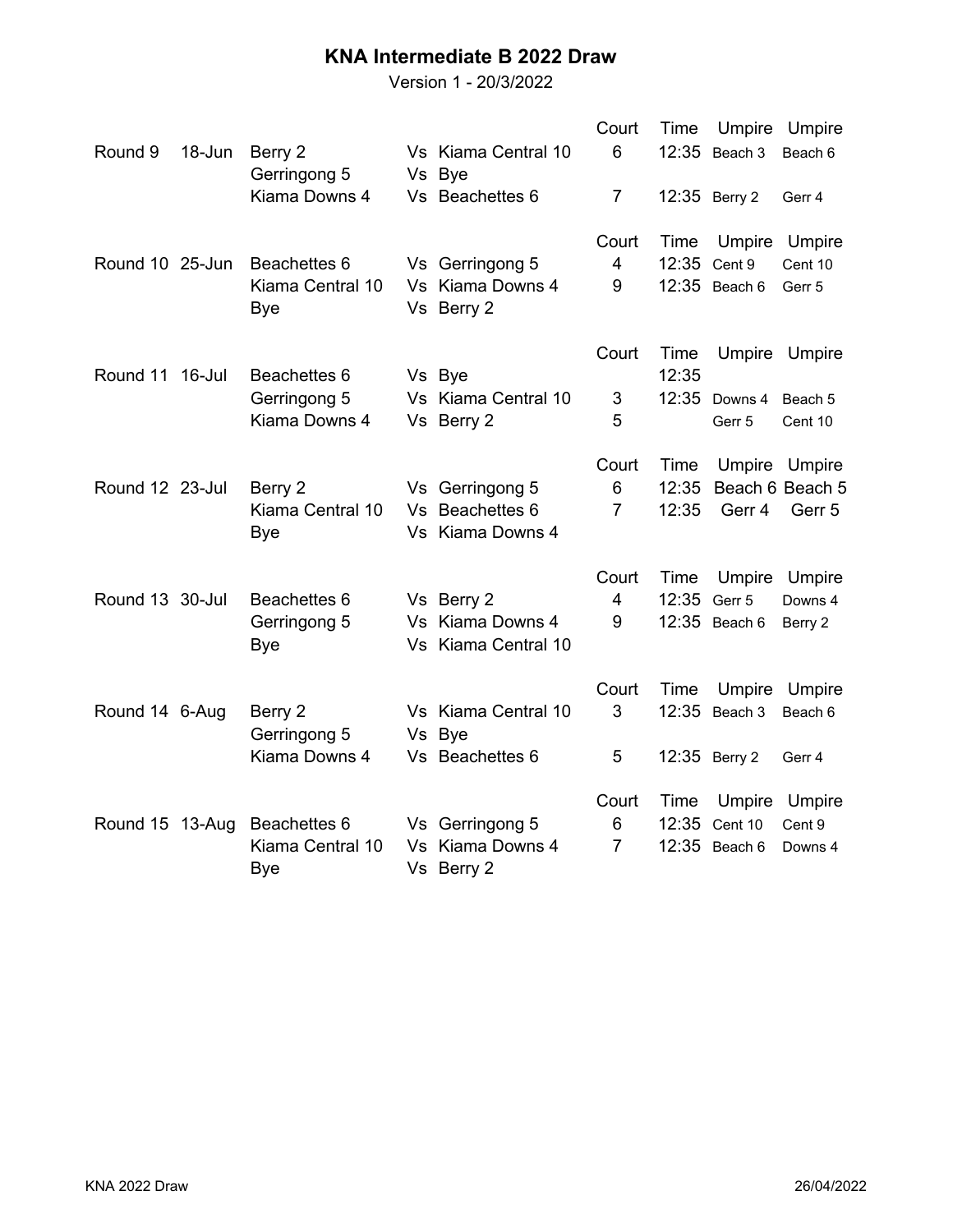## **KNA Intermediate B 2022 Draw**

Version 1 - 20/3/2022

|                 |        |                         |                                | Court          | Time          |               | Umpire Umpire   |
|-----------------|--------|-------------------------|--------------------------------|----------------|---------------|---------------|-----------------|
| Round 9         | 18-Jun | Berry 2<br>Gerringong 5 | Vs Kiama Central 10<br>Vs Bye  | 6              |               | 12:35 Beach 3 | Beach 6         |
|                 |        | Kiama Downs 4           | Vs Beachettes 6                | $\overline{7}$ |               | 12:35 Berry 2 | Gerr 4          |
|                 |        |                         |                                | Court          | Time          | Umpire        | Umpire          |
| Round 10 25-Jun |        | Beachettes 6            | Vs Gerringong 5                | 4              |               | 12:35 Cent 9  | Cent 10         |
|                 |        | Kiama Central 10<br>Bye | Vs Kiama Downs 4<br>Vs Berry 2 | 9              |               | 12:35 Beach 6 | Gerr 5          |
| Round 11 16-Jul |        | Beachettes 6            | Vs Bye                         | Court          | Time<br>12:35 |               | Umpire Umpire   |
|                 |        | Gerringong 5            | Vs Kiama Central 10            | 3              |               | 12:35 Downs 4 | Beach 5         |
|                 |        | Kiama Downs 4           | Vs Berry 2                     | 5              |               | Gerr 5        | Cent 10         |
|                 |        |                         |                                | Court          | Time          | Umpire        | Umpire          |
| Round 12 23-Jul |        | Berry 2                 | Vs Gerringong 5                | 6              | 12:35         |               | Beach 6 Beach 5 |
|                 |        | Kiama Central 10        | Vs Beachettes 6                | $\overline{7}$ | 12:35         | Gerr 4        | Gerr 5          |
|                 |        | Bye                     | Vs Kiama Downs 4               |                |               |               |                 |
|                 |        |                         |                                | Court          | Time          | Umpire        | Umpire          |
| Round 13 30-Jul |        | Beachettes 6            | Vs Berry 2                     | 4              | 12:35         | Gerr 5        | Downs 4         |
|                 |        | Gerringong 5            | Vs Kiama Downs 4               | 9              |               | 12:35 Beach 6 | Berry 2         |
|                 |        | Bye                     | Vs Kiama Central 10            |                |               |               |                 |
|                 |        |                         |                                | Court          | Time          | Umpire        | Umpire          |
| Round 14 6-Aug  |        | Berry 2                 | Vs Kiama Central 10            | 3              |               | 12:35 Beach 3 | Beach 6         |
|                 |        | Gerringong 5            | Vs Bye                         |                |               |               |                 |
|                 |        | Kiama Downs 4           | Vs Beachettes 6                | 5              |               | 12:35 Berry 2 | Gerr 4          |
|                 |        |                         |                                | Court          | Time          | Umpire        | Umpire          |
| Round 15 13-Aug |        | Beachettes 6            | Vs Gerringong 5                | 6              |               | 12:35 Cent 10 | Cent 9          |
|                 |        | Kiama Central 10        | Vs Kiama Downs 4               | $\overline{7}$ |               | 12:35 Beach 6 | Downs 4         |
|                 |        | Bye                     | Vs Berry 2                     |                |               |               |                 |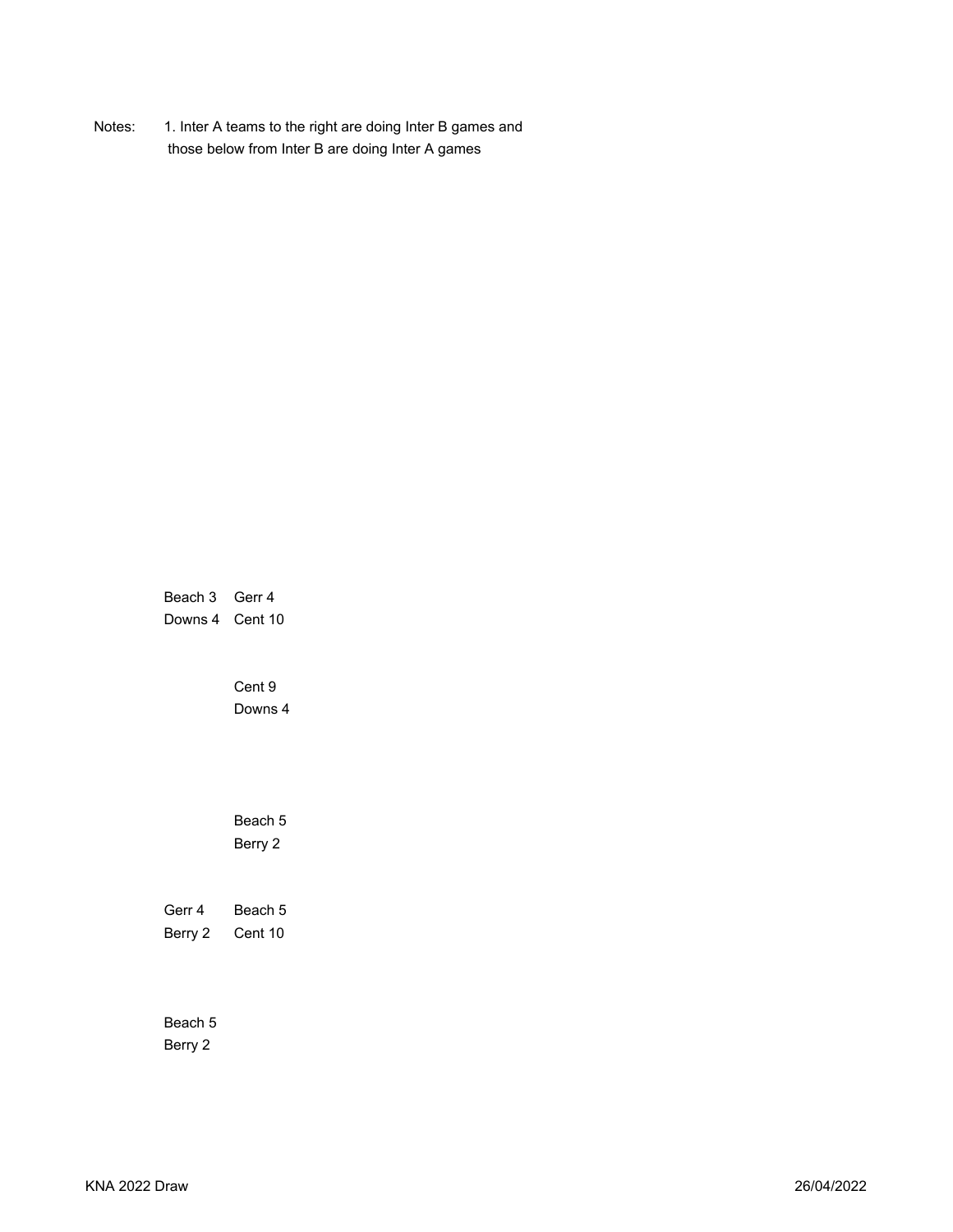Notes: 1. Inter A teams to the right are doing Inter B games and those below from Inter B are doing Inter A games

> Beach 3 Gerr 4 Downs 4 Cent 10

> > Cent 9 Downs 4

Beach 5 Berry 2

Gerr 4 Beach 5 Berry 2 Cent 10

Beach 5 Berry 2